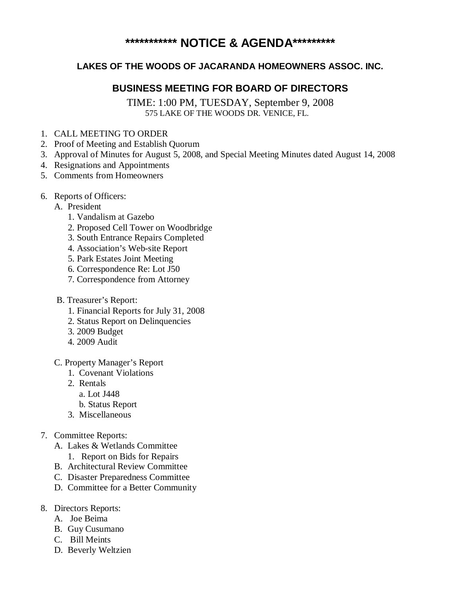# **\*\*\*\*\*\*\*\*\*\*\* NOTICE & AGENDA\*\*\*\*\*\*\*\*\***

## **LAKES OF THE WOODS OF JACARANDA HOMEOWNERS ASSOC. INC.**

## **BUSINESS MEETING FOR BOARD OF DIRECTORS**

TIME: 1:00 PM, TUESDAY, September 9, 2008 575 LAKE OF THE WOODS DR. VENICE, FL.

- 1. CALL MEETING TO ORDER
- 2. Proof of Meeting and Establish Quorum
- 3. Approval of Minutes for August 5, 2008, and Special Meeting Minutes dated August 14, 2008
- 4. Resignations and Appointments
- 5. Comments from Homeowners
- 6. Reports of Officers:
	- A. President
		- 1. Vandalism at Gazebo
		- 2. Proposed Cell Tower on Woodbridge
		- 3. South Entrance Repairs Completed
		- 4. Association's Web-site Report
		- 5. Park Estates Joint Meeting
		- 6. Correspondence Re: Lot J50
		- 7. Correspondence from Attorney
	- B. Treasurer's Report:
		- 1. Financial Reports for July 31, 2008
		- 2. Status Report on Delinquencies
		- 3. 2009 Budget
		- 4. 2009 Audit
	- C. Property Manager's Report
		- 1. Covenant Violations
		- 2. Rentals a. Lot J448
			- b. Status Report
		- 3. Miscellaneous
- 7. Committee Reports:
	- A. Lakes & Wetlands Committee 1. Report on Bids for Repairs
	- B. Architectural Review Committee
	- C. Disaster Preparedness Committee
	- D. Committee for a Better Community
- 8. Directors Reports:
	- A. Joe Beima
	- B. Guy Cusumano
	- C. Bill Meints
	- D. Beverly Weltzien